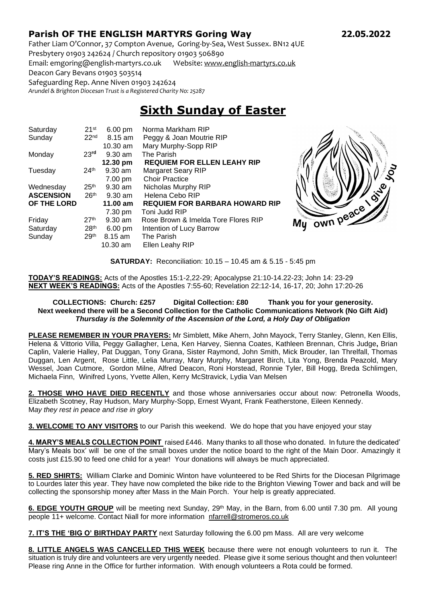## **Parish OF THE ENGLISH MARTYRS Goring Way 22.05.2022**

Father Liam O'Connor, 37 Compton Avenue, Goring-by-Sea, West Sussex. BN12 4UE Presbytery 01903 242624 / Church repository 01903 506890

Email: emgoring@english-martyrs.co.uk Website[: www.english-martyrs.co.uk](http://www.english-martyrs.co.uk/) 

Deacon Gary Bevans 01903 503514

Safeguarding Rep. Anne Niven 01903 242624

*Arundel & Brighton Diocesan Trust is a Registered Charity No: 25287*

## **Sixth Sunday of Easter**

| Saturday         | 21 <sup>st</sup> | $6.00 \text{ pm}$  | Norma Markham RIP                     |    |
|------------------|------------------|--------------------|---------------------------------------|----|
| Sunday           | 22 <sub>nd</sub> | $8.15$ am          | Peggy & Joan Moutrie RIP              |    |
|                  |                  | 10.30 am           | Mary Murphy-Sopp RIP                  |    |
| Monday           | 23 <sup>rd</sup> | $9.30$ am          | The Parish                            |    |
|                  |                  | 12.30 pm           | <b>REQUIEM FOR ELLEN LEAHY RIP</b>    |    |
| Tuesday          | 24 <sup>th</sup> | $9.30$ am          | Margaret Seary RIP                    |    |
|                  |                  | 7.00 pm            | <b>Choir Practice</b>                 |    |
| Wednesday        | 25 <sup>th</sup> | $9.30$ am          | Nicholas Murphy RIP                   |    |
| <b>ASCENSION</b> | 26 <sup>th</sup> | $9.30$ am          | Helena Cebo RIP                       |    |
| OF THE LORD      |                  | $11.00 \text{ am}$ | <b>REQUIEM FOR BARBARA HOWARD RIP</b> |    |
|                  |                  | 7.30 pm            | Toni Judd RIP                         |    |
| Friday           | 27 <sup>th</sup> | $9.30$ am          | Rose Brown & Imelda Tore Flores RIP   | Mu |
| Saturday         | 28 <sup>th</sup> | $6.00 \text{ pm}$  | Intention of Lucy Barrow              |    |
| Sunday           | 29 <sup>th</sup> | $8.15$ am          | The Parish                            |    |
|                  |                  | 10.30 am           | Ellen Leahy RIP                       |    |



**SATURDAY:** Reconciliation: 10.15 – 10.45 am & 5.15 - 5:45 pm

**TODAY'S READINGS:** Acts of the Apostles 15:1-2,22-29; Apocalypse 21:10-14.22-23; John 14: 23-29 **NEXT WEEK'S READINGS:** Acts of the Apostles 7:55-60; Revelation 22:12-14, 16-17, 20; John 17:20-26

## **COLLECTIONS: Church: £257 Digital Collection: £80 Thank you for your generosity. Next weekend there will be a Second Collection for the Catholic Communications Network (No Gift Aid)** *Thursday is the Solemnity of the Ascension of the Lord, a Holy Day of Obligation*

**PLEASE REMEMBER IN YOUR PRAYERS:** Mr Simblett, Mike Ahern, John Mayock, Terry Stanley, Glenn, Ken Ellis, Helena & Vittorio Villa, Peggy Gallagher, Lena, Ken Harvey, Sienna Coates, Kathleen Brennan, Chris Judge**,** Brian Caplin, Valerie Halley, Pat Duggan, Tony Grana, Sister Raymond, John Smith, Mick Brouder, Ian Threlfall, Thomas Duggan, Len Argent, Rose Little, Lelia Murray, Mary Murphy, Margaret Birch, Lita Yong, Brenda Peazold, Mary Wessel, Joan Cutmore, Gordon Milne, Alfred Deacon, Roni Horstead, Ronnie Tyler, Bill Hogg, Breda Schlimgen, Michaela Finn, Winifred Lyons, Yvette Allen, Kerry McStravick, Lydia Van Melsen

**2. THOSE WHO HAVE DIED RECENTLY** and those whose anniversaries occur about now: Petronella Woods, Elizabeth Scotney, Ray Hudson, Mary Murphy-Sopp, Ernest Wyant, Frank Featherstone, Eileen Kennedy. M*ay they rest in peace and rise in glory*

**3. WELCOME TO ANY VISITORS** to our Parish this weekend. We do hope that you have enjoyed your stay

**4. MARY'S MEALS COLLECTION POINT** raised £446. Many thanks to all those who donated. In future the dedicated' Mary's Meals box' will be one of the small boxes under the notice board to the right of the Main Door. Amazingly it costs just £15.90 to feed one child for a year! Your donations will always be much appreciated.

**5. RED SHIRTS:** William Clarke and Dominic Winton have volunteered to be Red Shirts for the Diocesan Pilgrimage to Lourdes later this year. They have now completed the bike ride to the Brighton Viewing Tower and back and will be collecting the sponsorship money after Mass in the Main Porch. Your help is greatly appreciated.

**6. EDGE YOUTH GROUP** will be meeting next Sunday, 29<sup>th</sup> May, in the Barn, from 6.00 until 7.30 pm. All young people 11+ welcome. Contact Niall for more information [nfarrell@stromeros.co.uk](mailto:nfarrell@stromeros.co.uk)

**7. IT'S THE 'BIG O' BIRTHDAY PARTY** next Saturday following the 6.00 pm Mass. All are very welcome

**8. LITTLE ANGELS WAS CANCELLED THIS WEEK** because there were not enough volunteers to run it. The situation is truly dire and volunteers are very urgently needed. Please give it some serious thought and then volunteer! Please ring Anne in the Office for further information. With enough volunteers a Rota could be formed.